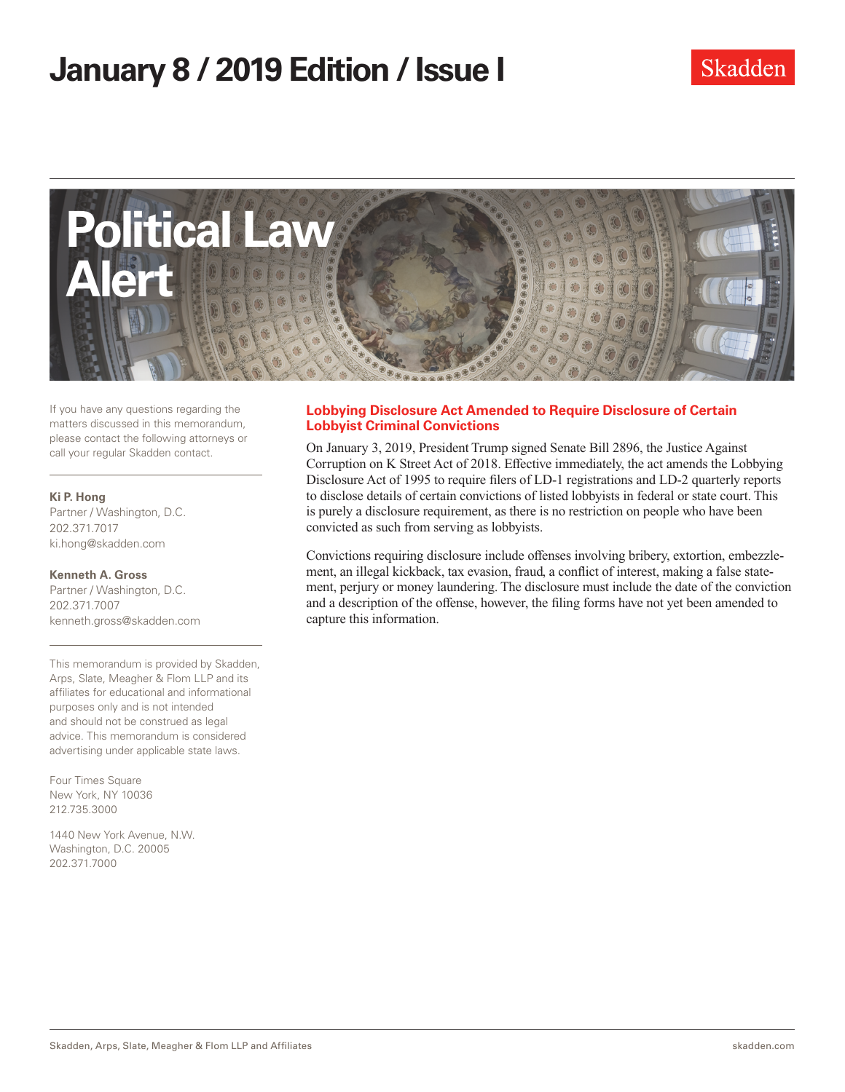# **January 8 / 2019 Edition/ Issue I**



If you have any questions regarding the matters discussed in this memorandum, please contact the following attorneys or call your regular Skadden contact.

#### **Ki P. Hong**

Partner / Washington, D.C. 202.371.7017 ki.hong@skadden.com

**Kenneth A. Gross** Partner / Washington, D.C. 202.371.7007 kenneth.gross@skadden.com

This memorandum is provided by Skadden, Arps, Slate, Meagher & Flom LLP and its affiliates for educational and informational purposes only and is not intended and should not be construed as legal advice. This memorandum is considered advertising under applicable state laws.

Four Times Square New York, NY 10036 212.735.3000

1440 New York Avenue, N.W. Washington, D.C. 20005 202.371.7000

#### **Lobbying Disclosure Act Amended to Require Disclosure of Certain Lobbyist Criminal Convictions**

On January 3, 2019, President Trump signed Senate Bill 2896, the Justice Against Corruption on K Street Act of 2018. Effective immediately, the act amends the Lobbying Disclosure Act of 1995 to require filers of LD-1 registrations and LD-2 quarterly reports to disclose details of certain convictions of listed lobbyists in federal or state court. This is purely a disclosure requirement, as there is no restriction on people who have been convicted as such from serving as lobbyists.

Convictions requiring disclosure include offenses involving bribery, extortion, embezzlement, an illegal kickback, tax evasion, fraud, a conflict of interest, making a false statement, perjury or money laundering. The disclosure must include the date of the conviction and a description of the offense, however, the filing forms have not yet been amended to capture this information.